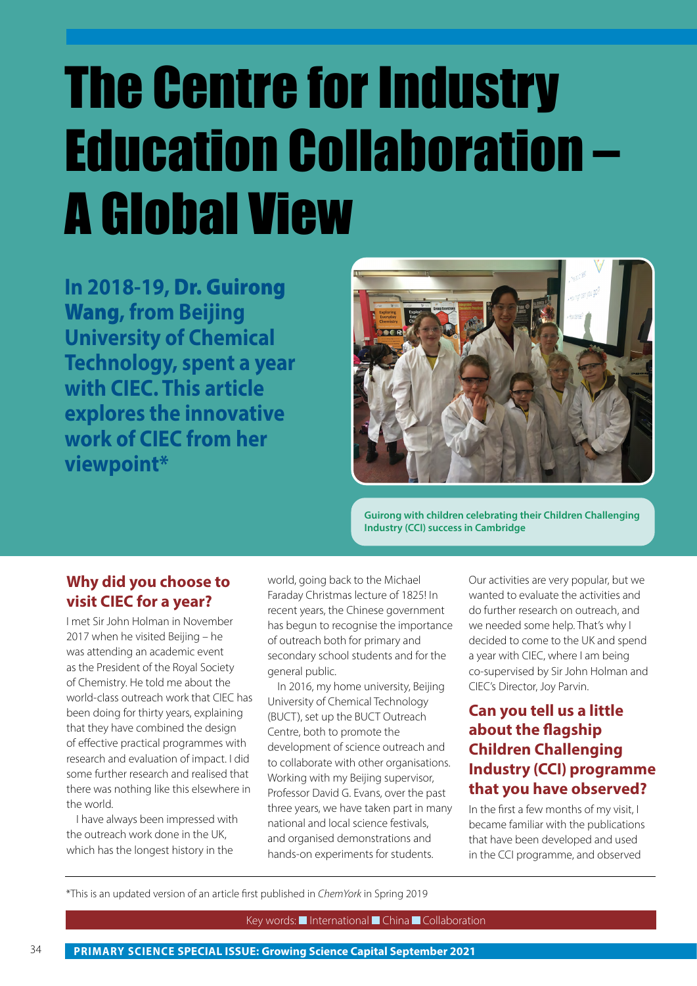# The Centre for Industry Education Collaboration – A Global View

**In 2018-19,** Dr. Guirong Wang**, from Beijing University of Chemical Technology, spent a year with CIEC. This article explores the innovative work of CIEC from her viewpoint\*** 



**Guirong with children celebrating their Children Challenging Industry (CCI) success in Cambridge**

#### **Why did you choose to visit CIEC for a year?**

I met Sir John Holman in November 2017 when he visited Beijing – he was attending an academic event as the President of the Royal Society of Chemistry. He told me about the world-class outreach work that CIEC has been doing for thirty years, explaining that they have combined the design of effective practical programmes with research and evaluation of impact. I did some further research and realised that there was nothing like this elsewhere in the world.

I have always been impressed with the outreach work done in the UK, which has the longest history in the

world, going back to the Michael Faraday Christmas lecture of 1825! In recent years, the Chinese government has begun to recognise the importance of outreach both for primary and secondary school students and for the general public.

In 2016, my home university, Beijing University of Chemical Technology (BUCT), set up the BUCT Outreach Centre, both to promote the development of science outreach and to collaborate with other organisations. Working with my Beijing supervisor, Professor David G. Evans, over the past three years, we have taken part in many national and local science festivals, and organised demonstrations and hands-on experiments for students.

Our activities are very popular, but we wanted to evaluate the activities and do further research on outreach, and we needed some help. That's why I decided to come to the UK and spend a year with CIEC, where I am being co-supervised by Sir John Holman and CIEC's Director, Joy Parvin.

### **Can you tell us a little about the flagship Children Challenging Industry (CCI) programme that you have observed?**

In the first a few months of my visit, I became familiar with the publications that have been developed and used in the CCI programme, and observed

\*This is an updated version of an article first published in *ChemYork* in Spring 2019